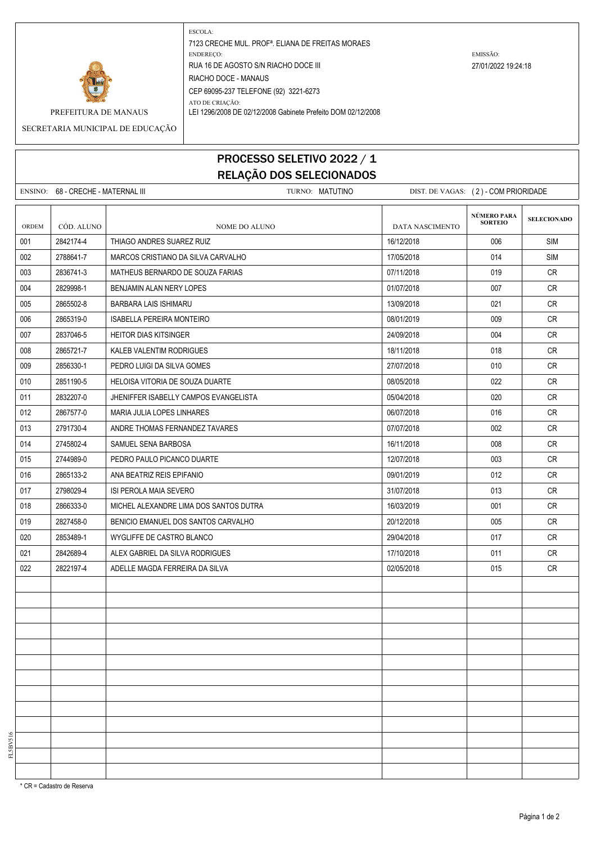

ESCOLA: 7123 CRECHE MUL. PROFª. ELIANA DE FREITAS MORAES ENDEREÇO: EMISSÃO: RUA 16 DE AGOSTO S/N RIACHO DOCE III 27/01/2022 19:24:18 RIACHO DOCE - MANAUS CEP 69095-237 TELEFONE (92) 3221-6273 ATO DE CRIAÇÃO:

PREFEITURA DE MANAUS LEI 1296/2008 DE 02/12/2008 Gabinete Prefeito DOM 02/12/2008

SECRETARIA MUNICIPAL DE EDUCAÇÃO

## PROCESSO SELETIVO 2022 / 1 RELAÇÃO DOS SELECIONADOS

|       | ENSINO: 68 - CRECHE - MATERNAL III |                                        | TURNO: MATUTINO |                 |                               | DIST. DE VAGAS: (2) - COM PRIORIDADE |  |
|-------|------------------------------------|----------------------------------------|-----------------|-----------------|-------------------------------|--------------------------------------|--|
| ORDEM | CÓD. ALUNO                         | NOME DO ALUNO                          |                 | DATA NASCIMENTO | NÚMERO PARA<br><b>SORTEIO</b> | <b>SELECIONADO</b>                   |  |
| 001   | 2842174-4                          | THIAGO ANDRES SUAREZ RUIZ              |                 | 16/12/2018      | 006                           | <b>SIM</b>                           |  |
| 002   | 2788641-7                          | MARCOS CRISTIANO DA SILVA CARVALHO     |                 | 17/05/2018      | 014                           | SIM                                  |  |
| 003   | 2836741-3                          | MATHEUS BERNARDO DE SOUZA FARIAS       |                 | 07/11/2018      | 019                           | <b>CR</b>                            |  |
| 004   | 2829998-1                          | BENJAMIN ALAN NERY LOPES               |                 | 01/07/2018      | 007                           | <b>CR</b>                            |  |
| 005   | 2865502-8                          | BARBARA LAIS ISHIMARU                  |                 | 13/09/2018      | 021                           | CR                                   |  |
| 006   | 2865319-0                          | <b>ISABELLA PEREIRA MONTEIRO</b>       |                 | 08/01/2019      | 009                           | CR                                   |  |
| 007   | 2837046-5                          | <b>HEITOR DIAS KITSINGER</b>           |                 | 24/09/2018      | 004                           | <b>CR</b>                            |  |
| 008   | 2865721-7                          | KALEB VALENTIM RODRIGUES               |                 | 18/11/2018      | 018                           | CR                                   |  |
| 009   | 2856330-1                          | PEDRO LUIGI DA SILVA GOMES             |                 | 27/07/2018      | 010                           | <b>CR</b>                            |  |
| 010   | 2851190-5                          | HELOISA VITORIA DE SOUZA DUARTE        |                 | 08/05/2018      | 022                           | CR                                   |  |
| 011   | 2832207-0                          | JHENIFFER ISABELLY CAMPOS EVANGELISTA  |                 | 05/04/2018      | 020                           | CR                                   |  |
| 012   | 2867577-0                          | MARIA JULIA LOPES LINHARES             |                 | 06/07/2018      | 016                           | <b>CR</b>                            |  |
| 013   | 2791730-4                          | ANDRE THOMAS FERNANDEZ TAVARES         |                 | 07/07/2018      | 002                           | <b>CR</b>                            |  |
| 014   | 2745802-4                          | SAMUEL SENA BARBOSA                    |                 | 16/11/2018      | 008                           | CR                                   |  |
| 015   | 2744989-0                          | PEDRO PAULO PICANCO DUARTE             |                 | 12/07/2018      | 003                           | CR                                   |  |
| 016   | 2865133-2                          | ANA BEATRIZ REIS EPIFANIO              |                 | 09/01/2019      | 012                           | <b>CR</b>                            |  |
| 017   | 2798029-4                          | ISI PEROLA MAIA SEVERO                 |                 | 31/07/2018      | 013                           | <b>CR</b>                            |  |
| 018   | 2866333-0                          | MICHEL ALEXANDRE LIMA DOS SANTOS DUTRA |                 | 16/03/2019      | 001                           | CR                                   |  |
| 019   | 2827458-0                          | BENICIO EMANUEL DOS SANTOS CARVALHO    |                 | 20/12/2018      | 005                           | CR                                   |  |
| 020   | 2853489-1                          | WYGLIFFE DE CASTRO BLANCO              |                 | 29/04/2018      | 017                           | <b>CR</b>                            |  |
| 021   | 2842689-4                          | ALEX GABRIEL DA SILVA RODRIGUES        |                 | 17/10/2018      | 011                           | <b>CR</b>                            |  |
| 022   | 2822197-4                          | ADELLE MAGDA FERREIRA DA SILVA         |                 | 02/05/2018      | 015                           | CR                                   |  |
|       |                                    |                                        |                 |                 |                               |                                      |  |
|       |                                    |                                        |                 |                 |                               |                                      |  |
|       |                                    |                                        |                 |                 |                               |                                      |  |
|       |                                    |                                        |                 |                 |                               |                                      |  |
|       |                                    |                                        |                 |                 |                               |                                      |  |
|       |                                    |                                        |                 |                 |                               |                                      |  |
|       |                                    |                                        |                 |                 |                               |                                      |  |
|       |                                    |                                        |                 |                 |                               |                                      |  |
|       |                                    |                                        |                 |                 |                               |                                      |  |
|       |                                    |                                        |                 |                 |                               |                                      |  |
|       |                                    |                                        |                 |                 |                               |                                      |  |
|       |                                    |                                        |                 |                 |                               |                                      |  |
|       |                                    |                                        |                 |                 |                               |                                      |  |

\* CR = Cadastro de Reserva

FL5BV516